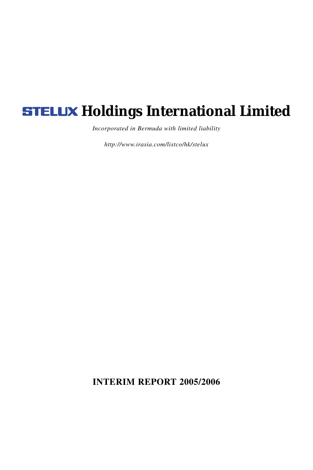# **STELUX Holdings International Limited**

*Incorporated in Bermuda with limited liability*

*http://www.irasia.com/listco/hk/stelux*

**INTERIM REPORT 2005/2006**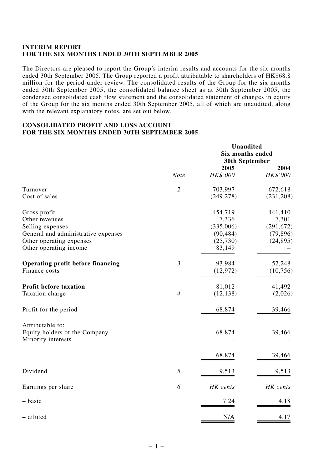## **INTERIM REPORT FOR THE SIX MONTHS ENDED 30TH SEPTEMBER 2005**

The Directors are pleased to report the Group's interim results and accounts for the six months ended 30th September 2005. The Group reported a profit attributable to shareholders of HK\$68.8 million for the period under review. The consolidated results of the Group for the six months ended 30th September 2005, the consolidated balance sheet as at 30th September 2005, the condensed consolidated cash flow statement and the consolidated statement of changes in equity of the Group for the six months ended 30th September 2005, all of which are unaudited, along with the relevant explanatory notes, are set out below.

# **CONSOLIDATED PROFIT AND LOSS ACCOUNT FOR THE SIX MONTHS ENDED 30TH SEPTEMBER 2005**

|                                                     |                | <b>Unaudited</b><br>Six months ended<br>30th September |                  |  |
|-----------------------------------------------------|----------------|--------------------------------------------------------|------------------|--|
|                                                     | <b>Note</b>    | 2005<br>HK\$'000                                       | 2004<br>HK\$'000 |  |
| Turnover                                            | $\overline{c}$ | 703,997                                                | 672,618          |  |
| Cost of sales                                       |                | (249, 278)                                             | (231, 208)       |  |
| Gross profit                                        |                | 454,719                                                | 441,410          |  |
| Other revenues                                      |                | 7,336                                                  | 7,301            |  |
| Selling expenses                                    |                | (335,006)                                              | (291, 672)       |  |
| General and administrative expenses                 |                | (90, 484)                                              | (79, 896)        |  |
| Other operating expenses                            |                | (25,730)                                               | (24, 895)        |  |
| Other operating income                              |                | 83,149                                                 |                  |  |
| Operating profit before financing                   | $\mathfrak{Z}$ | 93,984                                                 | 52,248           |  |
| Finance costs                                       |                | (12, 972)                                              | (10,756)         |  |
| Profit before taxation                              |                | 81,012                                                 | 41,492           |  |
| Taxation charge                                     | $\overline{4}$ | (12, 138)                                              | (2,026)          |  |
| Profit for the period                               |                | 68,874                                                 | 39,466           |  |
| Attributable to:                                    |                |                                                        |                  |  |
| Equity holders of the Company<br>Minority interests |                | 68,874                                                 | 39,466           |  |
|                                                     |                | 68,874                                                 | 39,466           |  |
| Dividend                                            | 5              | 9,513                                                  | 9,513            |  |
| Earnings per share                                  | 6              | HK cents                                               | HK cents         |  |
| – basic                                             |                | 7.24                                                   | 4.18             |  |
| - diluted                                           |                | N/A                                                    | 4.17             |  |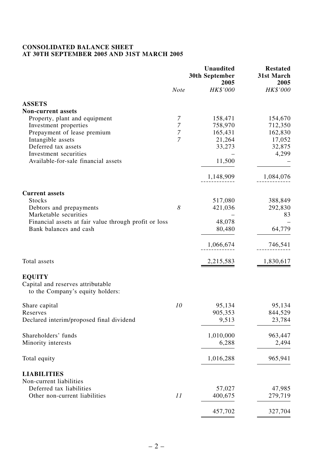# **CONSOLIDATED BALANCE SHEET AT 30TH SEPTEMBER 2005 AND 31ST MARCH 2005**

|                                                                                        | <b>Note</b>         | <b>Unaudited</b><br>30th September<br>2005<br>HK\$'000 | <b>Restated</b><br>31st March<br>2005<br>HK\$'000 |
|----------------------------------------------------------------------------------------|---------------------|--------------------------------------------------------|---------------------------------------------------|
|                                                                                        |                     |                                                        |                                                   |
| <b>ASSETS</b>                                                                          |                     |                                                        |                                                   |
| <b>Non-current assets</b>                                                              |                     |                                                        |                                                   |
| Property, plant and equipment                                                          | 7<br>$\overline{7}$ | 158,471                                                | 154,670                                           |
| Investment properties<br>Prepayment of lease premium                                   | 7                   | 758,970<br>165,431                                     | 712,350<br>162,830                                |
| Intangible assets                                                                      | 7                   | 21,264                                                 | 17,052                                            |
| Deferred tax assets                                                                    |                     | 33,273                                                 | 32,875                                            |
| Investment securities                                                                  |                     |                                                        | 4,299                                             |
| Available-for-sale financial assets                                                    |                     | 11,500                                                 |                                                   |
|                                                                                        |                     | 1,148,909                                              | 1,084,076                                         |
|                                                                                        |                     |                                                        |                                                   |
| <b>Current assets</b><br>Stocks                                                        |                     | 517,080                                                | 388,849                                           |
| Debtors and prepayments                                                                | 8                   | 421,036                                                | 292,830                                           |
| Marketable securities                                                                  |                     |                                                        | 83                                                |
| Financial assets at fair value through profit or loss                                  |                     | 48,078                                                 |                                                   |
| Bank balances and cash                                                                 |                     | 80,480                                                 | 64,779                                            |
|                                                                                        |                     | 1,066,674                                              | 746,541                                           |
| Total assets                                                                           |                     | 2,215,583                                              | 1,830,617                                         |
| <b>EOUITY</b><br>Capital and reserves attributable<br>to the Company's equity holders: |                     |                                                        |                                                   |
| Share capital                                                                          | 10                  | 95,134                                                 | 95,134                                            |
| Reserves                                                                               |                     | 905,353                                                | 844,529                                           |
| Declared interim/proposed final dividend                                               |                     | 9,513                                                  | 23,784                                            |
| Shareholders' funds                                                                    |                     | 1,010,000                                              | 963,447                                           |
| Minority interests                                                                     |                     | 6,288                                                  | 2,494                                             |
| Total equity                                                                           |                     | 1,016,288                                              | 965,941                                           |
| <b>LIABILITIES</b>                                                                     |                     |                                                        |                                                   |
| Non-current liabilities                                                                |                     |                                                        |                                                   |
| Deferred tax liabilities                                                               |                     | 57,027                                                 | 47,985                                            |
| Other non-current liabilities                                                          | 11                  | 400,675                                                | 279,719                                           |
|                                                                                        |                     | 457,702                                                | 327,704                                           |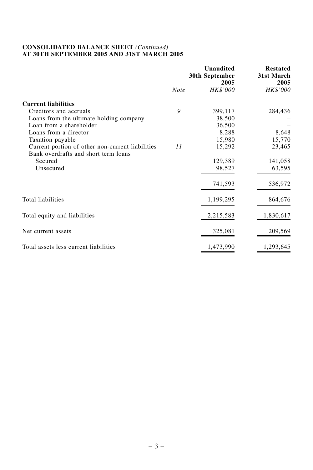# **CONSOLIDATED BALANCE SHEET** *(Continued)* **AT 30TH SEPTEMBER 2005 AND 31ST MARCH 2005**

|                                                                                          |             | <b>Unaudited</b><br>30th September<br>2005 | <b>Restated</b><br>31st March<br>2005 |  |
|------------------------------------------------------------------------------------------|-------------|--------------------------------------------|---------------------------------------|--|
|                                                                                          | <b>Note</b> | <b>HK\$'000</b>                            | HK\$'000                              |  |
| <b>Current liabilities</b>                                                               |             |                                            |                                       |  |
| Creditors and accruals                                                                   | 9           | 399,117                                    | 284,436                               |  |
| Loans from the ultimate holding company                                                  |             | 38,500                                     |                                       |  |
| Loan from a shareholder                                                                  |             | 36,500                                     |                                       |  |
| Loans from a director                                                                    |             | 8,288                                      | 8,648                                 |  |
| Taxation payable                                                                         |             | 15,980                                     | 15,770                                |  |
| Current portion of other non-current liabilities<br>Bank overdrafts and short term loans | 11          | 15,292                                     | 23,465                                |  |
| Secured                                                                                  |             | 129,389                                    | 141,058                               |  |
| Unsecured                                                                                |             | 98,527                                     | 63,595                                |  |
|                                                                                          |             | 741,593                                    | 536,972                               |  |
| Total liabilities                                                                        |             | 1,199,295                                  | 864,676                               |  |
| Total equity and liabilities                                                             |             | 2,215,583                                  | 1,830,617                             |  |
| Net current assets                                                                       |             | 325,081                                    | 209,569                               |  |
| Total assets less current liabilities                                                    |             | 1,473,990                                  | 1,293,645                             |  |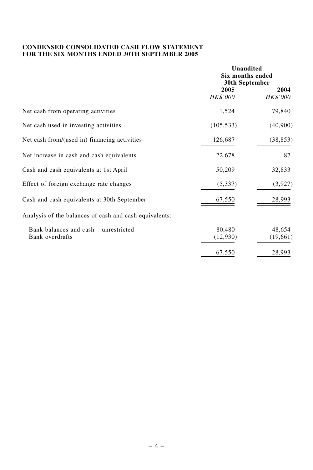# **CONDENSED CONSOLIDATED CASH FLOW STATEMENT FOR THE SIX MONTHS ENDED 30TH SEPTEMBER 2005**

|                                                          |                         | <b>Unaudited</b><br>Six months ended<br>30th September |  |  |
|----------------------------------------------------------|-------------------------|--------------------------------------------------------|--|--|
|                                                          | 2005<br><b>HK\$'000</b> | 2004<br>HK\$'000                                       |  |  |
| Net cash from operating activities                       | 1,524                   | 79,840                                                 |  |  |
| Net cash used in investing activities                    | (105, 533)              | (40,900)                                               |  |  |
| Net cash from/(used in) financing activities             | 126,687                 | (38, 853)                                              |  |  |
| Net increase in cash and cash equivalents                | 22,678                  | 87                                                     |  |  |
| Cash and cash equivalents at 1st April                   | 50,209                  | 32,833                                                 |  |  |
| Effect of foreign exchange rate changes                  | (5,337)                 | (3,927)                                                |  |  |
| Cash and cash equivalents at 30th September              | 67,550                  | 28,993                                                 |  |  |
| Analysis of the balances of cash and cash equivalents:   |                         |                                                        |  |  |
| Bank balances and cash - unrestricted<br>Bank overdrafts | 80,480<br>(12,930)      | 48,654<br>(19,661)                                     |  |  |
|                                                          | 67,550                  | 28,993                                                 |  |  |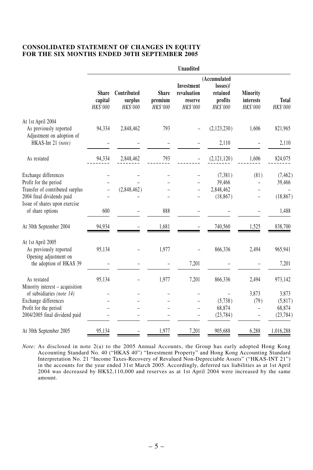## **CONSOLIDATED STATEMENT OF CHANGES IN EQUITY FOR THE SIX MONTHS ENDED 30TH SEPTEMBER 2005**

|                                                     | <b>Unaudited</b>             |                                    |                                     |                                                  |                                                                |                                   |                   |  |
|-----------------------------------------------------|------------------------------|------------------------------------|-------------------------------------|--------------------------------------------------|----------------------------------------------------------------|-----------------------------------|-------------------|--|
|                                                     | Share<br>capital<br>HK\$'000 | Contributed<br>surplus<br>HK\$'000 | <b>Share</b><br>premium<br>HK\$'000 | Investment<br>revaluation<br>reserve<br>HK\$'000 | (Accumulated<br>$losses$ )/<br>retained<br>profits<br>HK\$'000 | Minority<br>interests<br>HK\$'000 | Total<br>HK\$'000 |  |
| At 1st April 2004                                   |                              |                                    |                                     |                                                  |                                                                |                                   |                   |  |
| As previously reported<br>Adjustment on adoption of | 94,334                       | 2,848,462                          | 793                                 |                                                  | (2,123,230)                                                    | 1,606                             | 821,965           |  |
| HKAS-Int 21 (note)                                  |                              |                                    |                                     |                                                  | 2,110                                                          |                                   | 2,110             |  |
| As restated                                         | 94,334                       | 2,848,462                          | 793                                 |                                                  | (2,121,120)                                                    | 1,606                             | 824,075           |  |
| Exchange differences                                |                              |                                    |                                     |                                                  | (7,381)                                                        | (81)                              | (7, 462)          |  |
| Profit for the period                               |                              |                                    |                                     |                                                  | 39,466                                                         |                                   | 39,466            |  |
| Transfer of contributed surplus                     |                              | (2,848,462)                        |                                     |                                                  | 2,848,462                                                      |                                   |                   |  |
| 2004 final dividends paid                           |                              |                                    |                                     |                                                  | (18, 867)                                                      |                                   | (18, 867)         |  |
| Issue of shares upon exercise<br>of share options   | 600                          |                                    | 888                                 |                                                  |                                                                |                                   | 1,488             |  |
| At 30th September 2004                              | 94,934                       |                                    | 1.681                               |                                                  | 740,560                                                        | 1,525                             | 838,700           |  |
| At 1st April 2005<br>As previously reported         | 95,134                       |                                    | 1,977                               |                                                  | 866,336                                                        | 2,494                             | 965,941           |  |
| Opening adjustment on<br>the adoption of HKAS 39    |                              |                                    |                                     | 7,201                                            |                                                                |                                   | 7,201             |  |
| As restated<br>Minority interest - acquisition      | 95,134                       |                                    | 1,977                               | 7,201                                            | 866,336                                                        | 2,494                             | 973,142           |  |
| of subsidiaries (note 14)                           |                              |                                    |                                     |                                                  |                                                                | 3,873                             | 3,873             |  |
| Exchange differences                                |                              |                                    |                                     |                                                  | (5,738)                                                        | (79)                              | (5,817)           |  |
| Profit for the period                               |                              |                                    |                                     |                                                  | 68,874                                                         | $\overline{a}$                    | 68,874            |  |
| 2004/2005 final dividend paid                       |                              |                                    |                                     |                                                  | (23, 784)                                                      |                                   | (23, 784)         |  |
| At 30th September 2005                              | 95,134                       |                                    | 1,977                               | 7,201                                            | 905,688                                                        | 6,288                             | 1,016,288         |  |

*Note:* As disclosed in note 2(a) to the 2005 Annual Accounts, the Group has early adopted Hong Kong Accounting Standard No. 40 ("HKAS 40") "Investment Property" and Hong Kong Accounting Standard Interpretation No. 21 "Income Taxes-Recovery of Revalued Non-Depreciable Assets" ("HKAS-INT 21") in the accounts for the year ended 31st March 2005. Accordingly, deferred tax liabilities as at 1st April 2004 was decreased by HK\$2,110,000 and reserves as at 1st April 2004 were increased by the same amount.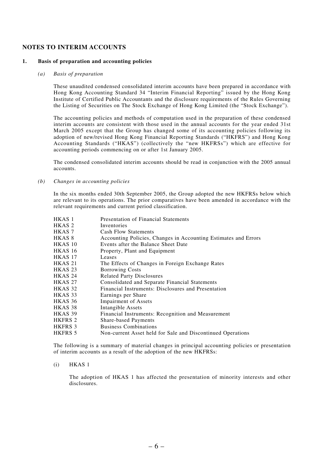## **NOTES TO INTERIM ACCOUNTS**

#### **1. Basis of preparation and accounting policies**

#### *(a) Basis of preparation*

These unaudited condensed consolidated interim accounts have been prepared in accordance with Hong Kong Accounting Standard 34 "Interim Financial Reporting" issued by the Hong Kong Institute of Certified Public Accountants and the disclosure requirements of the Rules Governing the Listing of Securities on The Stock Exchange of Hong Kong Limited (the "Stock Exchange").

The accounting policies and methods of computation used in the preparation of these condensed interim accounts are consistent with those used in the annual accounts for the year ended 31st March 2005 except that the Group has changed some of its accounting policies following its adoption of new/revised Hong Kong Financial Reporting Standards ("HKFRS") and Hong Kong Accounting Standards ("HKAS") (collectively the "new HKFRSs") which are effective for accounting periods commencing on or after 1st January 2005.

The condensed consolidated interim accounts should be read in conjunction with the 2005 annual accounts.

*(b) Changes in accounting policies*

In the six months ended 30th September 2005, the Group adopted the new HKFRSs below which are relevant to its operations. The prior comparatives have been amended in accordance with the relevant requirements and current period classification.

| HKAS 1         | Presentation of Financial Statements                            |
|----------------|-----------------------------------------------------------------|
| HKAS 2         | Inventories                                                     |
| HKAS 7         | <b>Cash Flow Statements</b>                                     |
| HKAS 8         | Accounting Policies, Changes in Accounting Estimates and Errors |
| <b>HKAS 10</b> | Events after the Balance Sheet Date                             |
| HKAS 16        | Property, Plant and Equipment                                   |
| HKAS 17        | Leases                                                          |
| <b>HKAS 21</b> | The Effects of Changes in Foreign Exchange Rates                |
| HKAS 23        | <b>Borrowing Costs</b>                                          |
| HKAS 24        | <b>Related Party Disclosures</b>                                |
| <b>HKAS 27</b> | Consolidated and Separate Financial Statements                  |
| HKAS 32        | Financial Instruments: Disclosures and Presentation             |
| HKAS 33        | Earnings per Share                                              |
| HKAS 36        | <b>Impairment of Assets</b>                                     |
| HKAS 38        | Intangible Assets                                               |
| HKAS 39        | Financial Instruments: Recognition and Measurement              |
| HKFRS 2        | Share-based Payments                                            |
| HKFRS 3        | <b>Business Combinations</b>                                    |
| HKFRS 5        | Non-current Asset held for Sale and Discontinued Operations     |

The following is a summary of material changes in principal accounting policies or presentation of interim accounts as a result of the adoption of the new HKFRSs:

(i) HKAS 1

The adoption of HKAS 1 has affected the presentation of minority interests and other disclosures.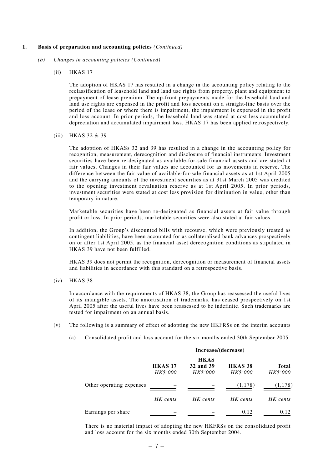#### **1. Basis of preparation and accounting policies** *(Continued)*

- *(b) Changes in accounting policies (Continued)*
	- (ii) HKAS 17

The adoption of HKAS 17 has resulted in a change in the accounting policy relating to the reclassification of leasehold land and land use rights from property, plant and equipment to prepayment of lease premium. The up-front prepayments made for the leasehold land and land use rights are expensed in the profit and loss account on a straight-line basis over the period of the lease or where there is impairment, the impairment is expensed in the profit and loss account. In prior periods, the leasehold land was stated at cost less accumulated depreciation and accumulated impairment loss. HKAS 17 has been applied retrospectively.

(iii) HKAS 32 & 39

The adoption of HKASs 32 and 39 has resulted in a change in the accounting policy for recognition, measurement, derecognition and disclosure of financial instruments. Investment securities have been re-designated as available-for-sale financial assets and are stated at fair values. Changes in their fair values are accounted for as movements in reserve. The difference between the fair value of available-for-sale financial assets as at 1st April 2005 and the carrying amounts of the investment securities as at 31st March 2005 was credited to the opening investment revaluation reserve as at 1st April 2005. In prior periods, investment securities were stated at cost less provision for diminution in value, other than temporary in nature.

Marketable securities have been re-designated as financial assets at fair value through profit or loss. In prior periods, marketable securities were also stated at fair values.

In addition, the Group's discounted bills with recourse, which were previously treated as contingent liabilities, have been accounted for as collateralised bank advances prospectively on or after 1st April 2005, as the financial asset derecognition conditions as stipulated in HKAS 39 have not been fulfilled.

HKAS 39 does not permit the recognition, derecognition or measurement of financial assets and liabilities in accordance with this standard on a retrospective basis.

(iv) HKAS 38

In accordance with the requirements of HKAS 38, the Group has reassessed the useful lives of its intangible assets. The amortisation of trademarks, has ceased prospectively on 1st April 2005 after the useful lives have been reassessed to be indefinite. Such trademarks are tested for impairment on an annual basis.

- (v) The following is a summary of effect of adopting the new HKFRSs on the interim accounts
	- (a) Consolidated profit and loss account for the six months ended 30th September 2005

|                          | Increase/(decrease)               |                                             |                            |                          |  |  |  |
|--------------------------|-----------------------------------|---------------------------------------------|----------------------------|--------------------------|--|--|--|
|                          | <b>HKAS 17</b><br><b>HK\$'000</b> | <b>HKAS</b><br>32 and 39<br><b>HK\$'000</b> | HKAS 38<br><b>HK\$'000</b> | Total<br><b>HK\$'000</b> |  |  |  |
| Other operating expenses |                                   |                                             | (1, 178)                   | (1, 178)                 |  |  |  |
|                          | HK cents                          | HK cents                                    | HK cents                   | HK cents                 |  |  |  |
| Earnings per share       |                                   |                                             | 0.12                       | 0.12                     |  |  |  |

There is no material impact of adopting the new HKFRSs on the consolidated profit and loss account for the six months ended 30th September 2004.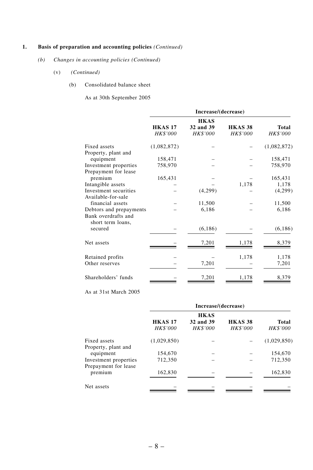# **1. Basis of preparation and accounting policies** *(Continued)*

- *(b) Changes in accounting policies (Continued)*
	- (v) *(Continued)*
		- (b) Consolidated balance sheet

As at 30th September 2005

|                         | Increase/(decrease)        |                                      |                            |                          |  |  |  |  |
|-------------------------|----------------------------|--------------------------------------|----------------------------|--------------------------|--|--|--|--|
|                         | <b>HKAS 17</b><br>HK\$'000 | <b>HKAS</b><br>32 and 39<br>HK\$'000 | <b>HKAS 38</b><br>HK\$'000 | Total<br><b>HK\$'000</b> |  |  |  |  |
| Fixed assets            | (1,082,872)                |                                      |                            | (1,082,872)              |  |  |  |  |
| Property, plant and     |                            |                                      |                            |                          |  |  |  |  |
| equipment               | 158,471                    |                                      |                            | 158,471                  |  |  |  |  |
| Investment properties   | 758,970                    |                                      |                            | 758,970                  |  |  |  |  |
| Prepayment for lease    |                            |                                      |                            |                          |  |  |  |  |
| premium                 | 165,431                    |                                      |                            | 165,431                  |  |  |  |  |
| Intangible assets       |                            |                                      | 1,178                      | 1,178                    |  |  |  |  |
| Investment securities   |                            | (4,299)                              |                            | (4,299)                  |  |  |  |  |
| Available-for-sale      |                            |                                      |                            |                          |  |  |  |  |
| financial assets        |                            | 11,500                               |                            | 11,500                   |  |  |  |  |
| Debtors and prepayments |                            | 6,186                                |                            | 6,186                    |  |  |  |  |
| Bank overdrafts and     |                            |                                      |                            |                          |  |  |  |  |
| short term loans,       |                            |                                      |                            |                          |  |  |  |  |
| secured                 |                            | (6,186)                              |                            | (6, 186)                 |  |  |  |  |
| Net assets              |                            | 7,201                                | 1,178                      | 8,379                    |  |  |  |  |
| Retained profits        |                            |                                      | 1,178                      | 1,178                    |  |  |  |  |
| Other reserves          |                            | 7,201                                |                            | 7,201                    |  |  |  |  |
|                         |                            |                                      |                            |                          |  |  |  |  |
| Shareholders' funds     |                            | 7,201                                | 1,178                      | 8,379                    |  |  |  |  |

# As at 31st March 2005

|                                               | Increase/(decrease)               |                                             |                                   |                                 |  |  |  |
|-----------------------------------------------|-----------------------------------|---------------------------------------------|-----------------------------------|---------------------------------|--|--|--|
|                                               | <b>HKAS 17</b><br><b>HK\$'000</b> | <b>HKAS</b><br>32 and 39<br><b>HK\$'000</b> | <b>HKAS 38</b><br><b>HK\$'000</b> | <b>Total</b><br><b>HK\$'000</b> |  |  |  |
| Fixed assets<br>Property, plant and           | (1,029,850)                       |                                             |                                   | (1,029,850)                     |  |  |  |
| equipment                                     | 154,670                           |                                             |                                   | 154,670                         |  |  |  |
| Investment properties<br>Prepayment for lease | 712,350                           |                                             |                                   | 712,350                         |  |  |  |
| premium                                       | 162,830                           |                                             |                                   | 162,830                         |  |  |  |
| Net assets                                    |                                   |                                             |                                   |                                 |  |  |  |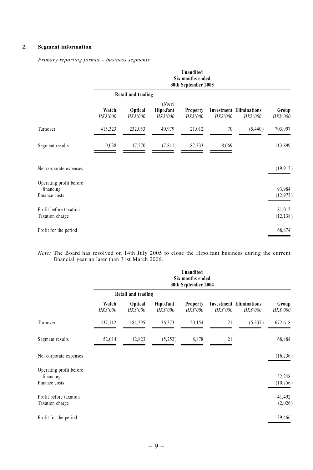# **2. Segment information**

*Primary reporting format – business segments*

|                                                       | <b>Unaudited</b><br>Six months ended<br>30th September 2005 |                            |                                 |                                    |                 |                                                   |                          |
|-------------------------------------------------------|-------------------------------------------------------------|----------------------------|---------------------------------|------------------------------------|-----------------|---------------------------------------------------|--------------------------|
|                                                       |                                                             | Retail and trading         |                                 |                                    |                 |                                                   |                          |
|                                                       | Watch<br>HK\$'000                                           | <b>Optical</b><br>HK\$'000 | (Note)<br>Hipo.fant<br>HK\$'000 | <b>Property</b><br><b>HK\$'000</b> | <b>HK\$'000</b> | <b>Investment Eliminations</b><br><b>HK\$'000</b> | Group<br><b>HK\$'000</b> |
| Turnover                                              | 415,323                                                     | 232,053                    | 40,979                          | 21,012                             | 70              | (5,440)                                           | 703,997                  |
| Segment results                                       | 9,038                                                       | 17,270                     | (7, 811)                        | 87,333                             | 8,069           |                                                   | 113,899                  |
| Net corporate expenses                                |                                                             |                            |                                 |                                    |                 |                                                   | (19, 915)                |
| Operating profit before<br>financing<br>Finance costs |                                                             |                            |                                 |                                    |                 |                                                   | 93,984<br>(12, 972)      |
| Profit before taxation<br>Taxation charge             |                                                             |                            |                                 |                                    |                 |                                                   | 81,012<br>(12, 138)      |
| Profit for the period                                 |                                                             |                            |                                 |                                    |                 |                                                   | 68,874                   |

*Note:* The Board has resolved on 14th July 2005 to close the Hipo.fant business during the current financial year no later than 31st March 2006.

|                                                       | Unaudited<br>Six months ended<br>30th September 2004 |                            |                       |                                    |          |                                            |                          |
|-------------------------------------------------------|------------------------------------------------------|----------------------------|-----------------------|------------------------------------|----------|--------------------------------------------|--------------------------|
|                                                       |                                                      | Retail and trading         |                       |                                    |          |                                            |                          |
|                                                       | Watch<br><b>HK\$'000</b>                             | <b>Optical</b><br>HK\$'000 | Hipo.fant<br>HK\$'000 | <b>Property</b><br><b>HK\$'000</b> | HK\$'000 | <b>Investment Eliminations</b><br>HK\$'000 | Group<br><b>HK\$'000</b> |
| Turnover                                              | 437,112                                              | 184,295                    | 36,373                | 20,154                             | 21       | (5, 337)                                   | 672,618                  |
| Segment results                                       | 52,014                                               | 12,823                     | (5,252)               | 8,878                              | 21       |                                            | 68,484                   |
| Net corporate expenses                                |                                                      |                            |                       |                                    |          |                                            | (16, 236)                |
| Operating profit before<br>financing<br>Finance costs |                                                      |                            |                       |                                    |          |                                            | 52,248<br>(10, 756)      |
| Profit before taxation<br>Taxation charge             |                                                      |                            |                       |                                    |          |                                            | 41,492<br>(2,026)        |
| Profit for the period                                 |                                                      |                            |                       |                                    |          |                                            | 39,466                   |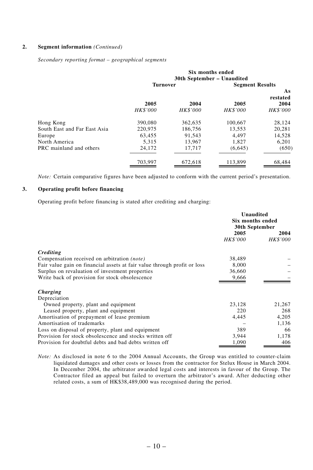# **2. Segment information** *(Continued)*

*Secondary reporting format – geographical segments*

|                              | Six months ended<br>30th September - Unaudited |                 |                        |                 |  |
|------------------------------|------------------------------------------------|-----------------|------------------------|-----------------|--|
|                              | <b>Turnover</b>                                |                 | <b>Segment Results</b> |                 |  |
|                              |                                                |                 |                        | As              |  |
|                              |                                                |                 |                        | restated        |  |
|                              | 2005                                           | 2004            | 2005                   | 2004            |  |
|                              | <b>HK\$'000</b>                                | <b>HK\$'000</b> | <b>HK\$'000</b>        | <b>HK\$'000</b> |  |
| Hong Kong                    | 390,080                                        | 362,635         | 100,667                | 28,124          |  |
| South East and Far East Asia | 220,975                                        | 186,756         | 13,553                 | 20,281          |  |
| Europe                       | 63,455                                         | 91.543          | 4.497                  | 14,528          |  |
| North America                | 5.315                                          | 13,967          | 1.827                  | 6.201           |  |
| PRC mainland and others      | 24,172                                         | 17,717          | (6,645)                | (650)           |  |
|                              | 703.997                                        | 672.618         | 113.899                | 68,484          |  |

*Note:* Certain comparative figures have been adjusted to conform with the current period's presentation.

# **3. Operating profit before financing**

Operating profit before financing is stated after crediting and charging:

|                                                                          | Unaudited<br>Six months ended<br><b>30th September</b> |                         |  |
|--------------------------------------------------------------------------|--------------------------------------------------------|-------------------------|--|
|                                                                          | 2005<br><b>HK\$'000</b>                                | 2004<br><b>HK\$'000</b> |  |
|                                                                          |                                                        |                         |  |
| Crediting                                                                |                                                        |                         |  |
| Compensation received on arbitration <i>(note)</i>                       | 38,489                                                 |                         |  |
| Fair value gain on financial assets at fair value through profit or loss | 8,000                                                  |                         |  |
| Surplus on revaluation of investment properties                          | 36,660                                                 |                         |  |
| Write back of provision for stock obsolescence                           | 9,666                                                  |                         |  |
| Charging                                                                 |                                                        |                         |  |
| Depreciation                                                             |                                                        |                         |  |
| Owned property, plant and equipment                                      | 23,128                                                 | 21,267                  |  |
| Leased property, plant and equipment                                     | 220                                                    | 268                     |  |
| Amortisation of prepayment of lease premium                              | 4,445                                                  | 4,205                   |  |
| Amortisation of trademarks                                               |                                                        | 1,136                   |  |
| Loss on disposal of property, plant and equipment                        | 389                                                    | 66                      |  |
| Provision for stock obsolescence and stocks written off                  | 3,944                                                  | 1,178                   |  |
| Provision for doubtful debts and bad debts written off                   | 1,090                                                  | 406                     |  |

*Note:* As disclosed in note 6 to the 2004 Annual Accounts, the Group was entitled to counter-claim liquidated damages and other costs or losses from the contractor for Stelux House in March 2004. In December 2004, the arbitrator awarded legal costs and interests in favour of the Group. The Contractor filed an appeal but failed to overturn the arbitrator's award. After deducting other related costs, a sum of HK\$38,489,000 was recognised during the period.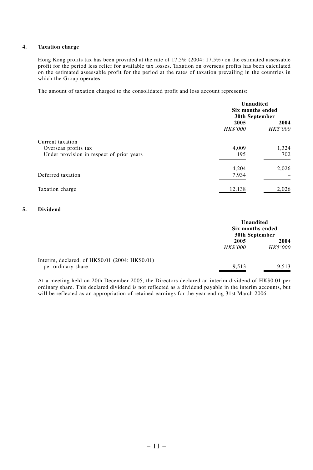# **4. Taxation charge**

Hong Kong profits tax has been provided at the rate of 17.5% (2004: 17.5%) on the estimated assessable profit for the period less relief for available tax losses. Taxation on overseas profits has been calculated on the estimated assessable profit for the period at the rates of taxation prevailing in the countries in which the Group operates.

The amount of taxation charged to the consolidated profit and loss account represents:

|                                           | Unaudited<br>Six months ended<br>30th September |                         |
|-------------------------------------------|-------------------------------------------------|-------------------------|
|                                           | 2005<br>HK\$'000                                | 2004<br><b>HK\$'000</b> |
| Current taxation                          |                                                 |                         |
| Overseas profits tax                      | 4,009                                           | 1,324                   |
| Under provision in respect of prior years | 195                                             | 702                     |
|                                           | 4,204                                           | 2,026                   |
| Deferred taxation                         | 7,934                                           |                         |
| Taxation charge                           | 12,138                                          | 2,026                   |

## **5. Dividend**

|                                                                       | Unaudited<br>Six months ended<br>30th September |                         |
|-----------------------------------------------------------------------|-------------------------------------------------|-------------------------|
|                                                                       | 2005                                            | 2004<br><b>HK\$'000</b> |
|                                                                       | <i>HK\$'000</i>                                 |                         |
| Interim, declared, of HK\$0.01 (2004: HK\$0.01)<br>per ordinary share | 9,513                                           | 9.513                   |

At a meeting held on 20th December 2005, the Directors declared an interim dividend of HK\$0.01 per ordinary share. This declared dividend is not reflected as a dividend payable in the interim accounts, but will be reflected as an appropriation of retained earnings for the year ending 31st March 2006.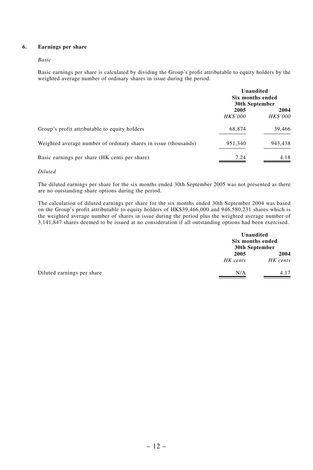## **6. Earnings per share**

#### *Basic*

Basic earnings per share is calculated by dividing the Group's profit attributable to equity holders by the weighted average number of ordinary shares in issue during the period.

|                                                                 | Unaudited<br>Six months ended<br>30th September |                         |
|-----------------------------------------------------------------|-------------------------------------------------|-------------------------|
|                                                                 | 2005<br><b>HK\$'000</b>                         | 2004<br><b>HK\$'000</b> |
| Group's profit attributable to equity holders                   | 68,874                                          | 39,466                  |
| Weighted average number of ordinary shares in issue (thousands) | 951,340                                         | 943,438                 |
| Basic earnings per share (HK cents per share)                   | 7.24                                            | 4.18                    |

#### *Diluted*

The diluted earnings per share for the six months ended 30th September 2005 was not presented as there are no outstanding share options during the period.

The calculation of diluted earnings per share for the six months ended 30th September 2004 was based on the Group's profit attributable to equity holders of HK\$39,466,000 and 946,580,231 shares which is the weighted average number of shares in issue during the period plus the weighted average number of 3,141,847 shares deemed to be issued at no consideration if all outstanding options had been exercised.

|                            | Unaudited<br>Six months ended<br>30th September |                  |
|----------------------------|-------------------------------------------------|------------------|
|                            | 2005<br>HK cents                                | 2004<br>HK cents |
| Diluted earnings per share | N/A                                             | 4.17             |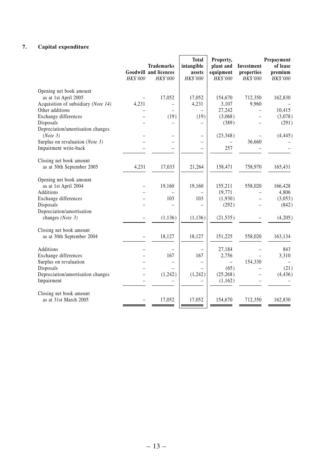# **7. Capital expenditure**

|                                     | HK\$'000                 | <b>Trademarks</b><br><b>Goodwill and licences</b><br>HK\$'000 | <b>Total</b><br>intangible<br>assets<br>HK\$'000 | Property,<br>plant and<br>equipment<br>HK\$'000 | Investment<br>properties<br><b>HK\$'000</b> | Prepayment<br>of lease<br>premium<br>HK\$'000 |
|-------------------------------------|--------------------------|---------------------------------------------------------------|--------------------------------------------------|-------------------------------------------------|---------------------------------------------|-----------------------------------------------|
| Opening net book amount             |                          |                                                               |                                                  |                                                 |                                             |                                               |
| as at 1st April 2005                |                          | 17,052                                                        | 17,052                                           | 154,670                                         | 712,350                                     | 162,830                                       |
| Acquisition of subsidiary (Note 14) | 4,231                    |                                                               | 4,231                                            | 3,107                                           | 9,960                                       |                                               |
| Other additions                     |                          | (19)                                                          | $\equiv$<br>(19)                                 | 27,242                                          | $\equiv$                                    | 10,415                                        |
| Exchange differences<br>Disposals   |                          |                                                               |                                                  | (3,068)<br>(389)                                | $\qquad \qquad -$                           | (3,078)                                       |
| Depreciation/amortisation changes   |                          |                                                               | $\overline{\phantom{0}}$                         |                                                 |                                             | (291)                                         |
| (Note 3)                            |                          | $\equiv$                                                      | $\overline{\phantom{0}}$                         | (23, 348)                                       | $\overline{\phantom{0}}$                    | (4, 445)                                      |
| Surplus on revaluation (Note 3)     |                          | -                                                             | $\overline{\phantom{0}}$                         |                                                 | 36,660                                      |                                               |
| Impairment write-back               |                          |                                                               | $\overline{\phantom{0}}$                         | 257                                             |                                             |                                               |
|                                     |                          |                                                               |                                                  |                                                 |                                             |                                               |
| Closing net book amount             |                          |                                                               |                                                  |                                                 |                                             |                                               |
| as at 30th September 2005           | 4,231                    | 17,033                                                        | 21,264                                           | 158,471                                         | 758,970                                     | 165,431                                       |
|                                     |                          |                                                               |                                                  |                                                 |                                             |                                               |
| Opening net book amount             |                          |                                                               |                                                  |                                                 |                                             |                                               |
| as at 1st April 2004                | $\overline{\phantom{0}}$ | 19,160                                                        | 19,160                                           | 155,211                                         | 558,020                                     | 166,428                                       |
| <b>Additions</b>                    |                          |                                                               |                                                  | 19.771                                          |                                             | 4,806                                         |
| Exchange differences<br>Disposals   |                          | 103                                                           | 103<br>$\overline{\phantom{0}}$                  | (1,930)<br>(292)                                |                                             | (3,053)<br>(842)                              |
| Depreciation/amortisation           |                          |                                                               |                                                  |                                                 |                                             |                                               |
| changes (Note 3)                    |                          | (1, 136)                                                      | (1, 136)                                         | (21, 535)                                       |                                             | (4,205)                                       |
|                                     |                          |                                                               |                                                  |                                                 |                                             |                                               |
| Closing net book amount             |                          |                                                               |                                                  |                                                 |                                             |                                               |
| as at 30th September 2004           |                          | 18,127                                                        | 18,127                                           | 151,225                                         | 558,020                                     | 163,134                                       |
|                                     |                          |                                                               |                                                  |                                                 |                                             |                                               |
| Additions                           |                          |                                                               |                                                  | 27,184                                          |                                             | 843                                           |
| Exchange differences                |                          | 167                                                           | 167                                              | 2,756                                           |                                             | 3,310                                         |
| Surplus on revaluation              |                          | -                                                             | $\qquad \qquad -$                                |                                                 | 154,330                                     |                                               |
| Disposals                           |                          |                                                               |                                                  | (65)                                            |                                             | (21)                                          |
| Depreciation/amortisation changes   |                          | (1,242)                                                       | (1,242)                                          | (25, 268)                                       |                                             | (4, 436)                                      |
| Impairment                          |                          |                                                               |                                                  | (1,162)                                         |                                             |                                               |
| Closing net book amount             |                          |                                                               |                                                  |                                                 |                                             |                                               |
| as at 31st March 2005               |                          | 17,052                                                        | 17,052                                           | 154,670                                         | 712,350                                     | 162,830                                       |
|                                     |                          |                                                               |                                                  |                                                 |                                             |                                               |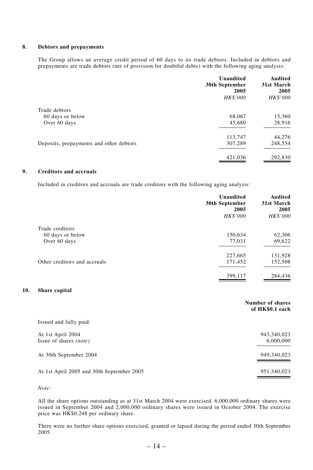#### **8. Debtors and prepayments**

The Group allows an average credit period of 60 days to its trade debtors. Included in debtors and prepayments are trade debtors (net of provision for doubtful debts) with the following aging analysis:

|                                         | Unaudited<br>30th September<br>2005<br>HK\$'000 | Audited<br>31st March<br>2005<br><b>HK\$'000</b> |
|-----------------------------------------|-------------------------------------------------|--------------------------------------------------|
| Trade debtors                           |                                                 |                                                  |
| 60 days or below                        | 68,067                                          | 15,360                                           |
| Over 60 days                            | 45,680                                          | 28,916                                           |
|                                         | 113,747                                         | 44,276                                           |
| Deposits, prepayments and other debtors | 307,289                                         | 248,554                                          |
|                                         | 421,036                                         | 292,830                                          |

# **9. Creditors and accruals**

Included in creditors and accruals are trade creditors with the following aging analysis:

|                              | <b>Unaudited</b><br>30th September<br>2005<br>HK\$'000 | <b>Audited</b><br>31st March<br>2005<br><b>HK\$'000</b> |
|------------------------------|--------------------------------------------------------|---------------------------------------------------------|
| Trade creditors              |                                                        |                                                         |
| 60 days or below             | 150,634                                                | 62,306                                                  |
| Over 60 days                 | 77,031                                                 | 69,622                                                  |
|                              | 227,665                                                | 131,928                                                 |
| Other creditors and accruals | 171,452                                                | 152,508                                                 |
|                              | 399,117                                                | 284,436                                                 |

## **10. Share capital**

|                                                    | Number of shares<br>of HK\$0.1 each |
|----------------------------------------------------|-------------------------------------|
| Issued and fully paid:                             |                                     |
| At 1st April 2004<br>Issue of shares <i>(note)</i> | 943,340,023<br>6,000,000            |
| At 30th September 2004                             | 949,340,023                         |
| At 1st April 2005 and 30th September 2005          | 951,340,023                         |

*Note:*

All the share options outstanding as at 31st March 2004 were exercised. 6,000,000 ordinary shares were issued in September 2004 and 2,000,000 ordinary shares were issued in October 2004. The exercise price was HK\$0.248 per ordinary share.

There were no further share options exercised, granted or lapsed during the period ended 30th September 2005.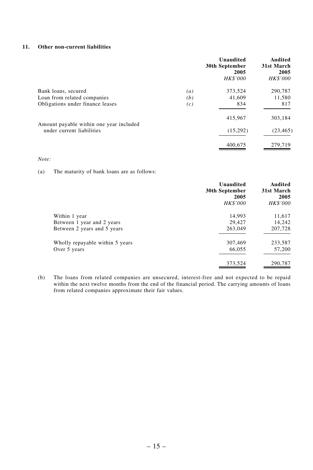## **11. Other non-current liabilities**

|                                         |     | Unaudited<br>30th September<br>2005<br><b>HK\$'000</b> | Audited<br>31st March<br>2005<br><b>HK\$'000</b> |
|-----------------------------------------|-----|--------------------------------------------------------|--------------------------------------------------|
| Bank loans, secured                     | (a) | 373,524                                                | 290,787                                          |
| Loan from related companies             | (b) | 41,609                                                 | 11,580                                           |
| Obligations under finance leases        | (c) | 834                                                    | 817                                              |
| Amount payable within one year included |     | 415,967                                                | 303,184                                          |
| under current liabilities               |     | (15,292)                                               | (23, 465)                                        |
|                                         |     | 400,675                                                | 279,719                                          |

## *Note:*

(a) The maturity of bank loans are as follows:

|                                 | Unaudited<br>30th September<br>2005<br><b>HK\$'000</b> | Audited<br>31st March<br>2005<br>HK\$'000 |
|---------------------------------|--------------------------------------------------------|-------------------------------------------|
| Within 1 year                   | 14,993                                                 | 11,617                                    |
| Between 1 year and 2 years      | 29,427                                                 | 14,242                                    |
| Between 2 years and 5 years     | 263,049                                                | 207,728                                   |
| Wholly repayable within 5 years | 307,469                                                | 233,587                                   |
| Over 5 years                    | 66,055                                                 | 57,200                                    |
|                                 | 373,524                                                | 290,787                                   |

(b) The loans from related companies are unsecured, interest-free and not expected to be repaid within the next twelve months from the end of the financial period. The carrying amounts of loans from related companies approximate their fair values.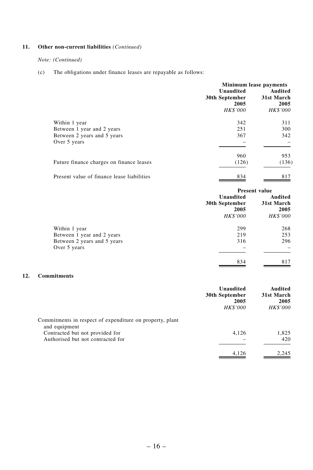# **11. Other non-current liabilities** *(Continued)*

## *Note: (Continued)*

(c) The obligations under finance leases are repayable as follows:

|                                            | Minimum lease payments |                 |  |
|--------------------------------------------|------------------------|-----------------|--|
|                                            | Unaudited              | Audited         |  |
|                                            | 30th September         | 31st March      |  |
|                                            | 2005                   | 2005            |  |
|                                            | <b>HK\$'000</b>        | <b>HK\$'000</b> |  |
| Within 1 year                              | 342                    | 311             |  |
| Between 1 year and 2 years                 | 251                    | 300             |  |
| Between 2 years and 5 years                | 367                    | 342             |  |
| Over 5 years                               |                        |                 |  |
|                                            | 960                    | 953             |  |
| Future finance charges on finance leases   | (126)                  | (136)           |  |
| Present value of finance lease liabilities | 834                    | 817             |  |

|                             | <b>Present value</b>   |                    |  |
|-----------------------------|------------------------|--------------------|--|
|                             | Unaudited              | Audited            |  |
|                             | 30th September<br>2005 | 31st March<br>2005 |  |
|                             | HK\$'000               | HK\$'000           |  |
| Within 1 year               | 299                    | 268                |  |
| Between 1 year and 2 years  | 219                    | 253                |  |
| Between 2 years and 5 years | 316                    | 296                |  |
| Over 5 years                | -                      |                    |  |
|                             | 834                    | 817                |  |

# **12. Commitments**

|                                                                           | Unaudited<br>30th September<br>2005<br><b>HK\$'000</b> | Audited<br>31st March<br>2005<br><b>HK\$'000</b> |
|---------------------------------------------------------------------------|--------------------------------------------------------|--------------------------------------------------|
| Commitments in respect of expenditure on property, plant<br>and equipment |                                                        |                                                  |
| Contracted but not provided for<br>Authorised but not contracted for      | 4,126                                                  | 1.825<br>420                                     |
|                                                                           | 4,126                                                  | 2.245                                            |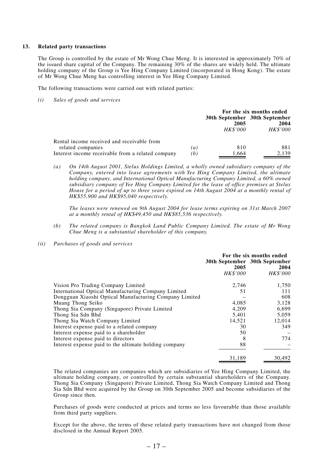#### **13. Related party transactions**

The Group is controlled by the estate of Mr Wong Chue Meng. It is interested in approximately 70% of the issued share capital of the Company. The remaining 30% of the shares are widely held. The ultimate holding company of the Group is Yee Hing Company Limited (incorporated in Hong Kong). The estate of Mr Wong Chue Meng has controlling interest in Yee Hing Company Limited.

The following transactions were carried out with related parties:

*(i) Sales of goods and services*

|                                                                 |     | For the six months ended                                 |                         |  |
|-----------------------------------------------------------------|-----|----------------------------------------------------------|-------------------------|--|
|                                                                 |     | 30th September 30th September<br>2005<br><b>HK\$'000</b> | 2004<br><b>HK\$'000</b> |  |
| Rental income received and receivable from<br>related companies | (a) | 810                                                      | 881                     |  |
| Interest income receivable from a related company               | (b) | 1.664                                                    | 2.139                   |  |

*(a) On 14th August 2001, Stelux Holdings Limited, a wholly owned subsidiary company of the Company, entered into lease agreements with Yee Hing Company Limited, the ultimate holding company, and International Optical Manufacturing Company Limited, a 60% owned subsidiary company of Yee Hing Company Limited for the lease of office premises at Stelux House for a period of up to three years expired on 14th August 2004 at a monthly rental of HK\$55,900 and HK\$95,040 respectively.*

*The leases were renewed on 9th August 2004 for lease terms expiring on 31st March 2007 at a monthly rental of HK\$49,450 and HK\$85,536 respectively.*

- *(b) The related company is Bangkok Land Public Company Limited. The estate of Mr Wong Chue Meng is a substantial shareholder of this company.*
- *(ii) Purchases of goods and services*

|                                                        | 2005<br><i>HK\$'000</i> | For the six months ended<br>30th September 30th September<br>2004<br><b>HK\$'000</b> |
|--------------------------------------------------------|-------------------------|--------------------------------------------------------------------------------------|
| Vision Pro Trading Company Limited                     | 2,746                   | 1,750                                                                                |
| International Optical Manufacturing Company Limited    | 51                      | 111                                                                                  |
| Dongguan Xiaoshi Optical Manufacturing Company Limited |                         | 608                                                                                  |
| Muang Thong Seiko                                      | 4.085                   | 3,128                                                                                |
| Thong Sia Company (Singapore) Private Limited          | 4.209                   | 6.699                                                                                |
| Thong Sia Sdn Bhd                                      | 5.401                   | 5.059                                                                                |
| Thong Sia Watch Company Limited                        | 14,521                  | 12,014                                                                               |
| Interest expense paid to a related company             | 30                      | 349                                                                                  |
| Interest expense paid to a shareholder                 | 50                      |                                                                                      |
| Interest expense paid to directors                     | 8                       | 774                                                                                  |
| Interest expense paid to the ultimate holding company  | 88                      |                                                                                      |
|                                                        | 31,189                  | 30,492                                                                               |

The related companies are companies which are subsidiaries of Yee Hing Company Limited, the ultimate holding company, or controlled by certain substantial shareholders of the Company. Thong Sia Company (Singapore) Private Limited, Thong Sia Watch Company Limited and Thong Sia Sdn Bhd were acquired by the Group on 30th September 2005 and become subsidiaries of the Group since then.

Purchases of goods were conducted at prices and terms no less favourable than those available from third party suppliers.

Except for the above, the terms of these related party transactions have not changed from those disclosed in the Annual Report 2005.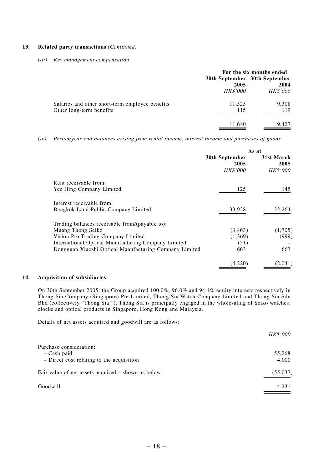#### **13. Related party transactions** *(Continued)*

#### *(iii) Key management compensation*

|                                                                             | 2005<br><b>HK\$'000</b> | For the six months ended<br>30th September 30th September<br>2004<br>HK\$'000 |
|-----------------------------------------------------------------------------|-------------------------|-------------------------------------------------------------------------------|
| Salaries and other short-term employee benefits<br>Other long-term benefits | 11,525<br>115           | 9,308<br>119                                                                  |
|                                                                             | 11,640                  | 9,427                                                                         |

*(iv) Period/year-end balances arising from rental income, interest income and purchases of goods*

|                                                        | As at                  |                    |  |
|--------------------------------------------------------|------------------------|--------------------|--|
|                                                        | 30th September<br>2005 | 31st March<br>2005 |  |
|                                                        | <b>HK\$'000</b>        | HK\$'000           |  |
| Rent receivable from:                                  |                        |                    |  |
| Yee Hing Company Limited                               | 125                    | 145                |  |
| Interest receivable from:                              |                        |                    |  |
| Bangkok Land Public Company Limited                    | 33,928                 | 32,264             |  |
| Trading balances receivable from/(payable to):         |                        |                    |  |
| Muang Thong Seiko                                      | (3, 463)               | (1,705)            |  |
| Vision Pro Trading Company Limited                     | (1,369)                | (999)              |  |
| International Optical Manufacturing Company Limited    | (51)                   |                    |  |
| Dongguan Xiaoshi Optical Manufacturing Company Limited | 663                    | 663                |  |
|                                                        | (4,220)                | (2,041)            |  |

#### **14. Acquisition of subsidiaries**

On 30th September 2005, the Group acquired 100.0%, 96.0% and 94.4% equity interests respectively in Thong Sia Company (Singapore) Pte Limited, Thong Sia Watch Company Limited and Thong Sia Sdn Bhd (collectively "Thong Sia "). Thong Sia is principally engaged in the wholesaling of Seiko watches, clocks and optical products in Singapore, Hong Kong and Malaysia.

Details of net assets acquired and goodwill are as follows:

|                                                                                       | <b>HK\$'000</b> |
|---------------------------------------------------------------------------------------|-----------------|
| Purchase consideration:<br>$-$ Cash paid<br>- Direct cost relating to the acquisition | 55,268<br>4,000 |
| Fair value of net assets acquired – shown as below                                    | (55,037)        |
| Goodwill                                                                              | 4,231           |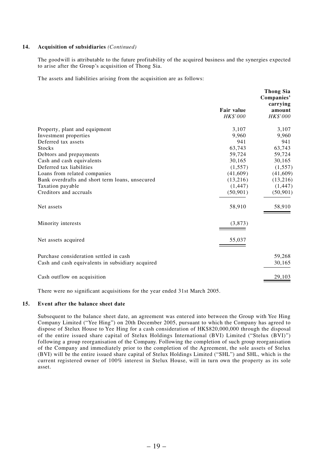### **14. Acquisition of subsidiaries** *(Continued)*

The goodwill is attributable to the future profitability of the acquired business and the synergies expected to arise after the Group's acquisition of Thong Sia.

The assets and liabilities arising from the acquisition are as follows:

|                                                  |                   | Thong Sia<br>Companies'<br>carrying |
|--------------------------------------------------|-------------------|-------------------------------------|
|                                                  | <b>Fair value</b> | amount                              |
|                                                  | <b>HK\$'000</b>   | <b>HK\$'000</b>                     |
| Property, plant and equipment                    | 3,107             | 3,107                               |
| Investment properties                            | 9.960             | 9.960                               |
| Deferred tax assets                              | 941               | 941                                 |
| <b>Stocks</b>                                    | 63,743            | 63,743                              |
| Debtors and prepayments                          | 59,724            | 59,724                              |
| Cash and cash equivalents                        | 30.165            | 30,165                              |
| Deferred tax liabilities                         | (1, 557)          | (1, 557)                            |
| Loans from related companies                     | (41, 609)         | (41,609)                            |
| Bank overdrafts and short term loans, unsecured  | (13,216)          | (13,216)                            |
| Taxation payable                                 | (1, 447)          | (1, 447)                            |
| Creditors and accruals                           | (50, 901)         | (50, 901)                           |
| Net assets                                       | 58,910            | 58,910                              |
| Minority interests                               | (3,873)           |                                     |
| Net assets acquired                              | 55,037            |                                     |
| Purchase consideration settled in cash           |                   | 59,268                              |
| Cash and cash equivalents in subsidiary acquired |                   | 30,165                              |
| Cash outflow on acquisition                      |                   | 29,103                              |

There were no significant acquisitions for the year ended 31st March 2005.

### **15. Event after the balance sheet date**

Subsequent to the balance sheet date, an agreement was entered into between the Group with Yee Hing Company Limited ("Yee Hing") on 20th December 2005, pursuant to which the Company has agreed to dispose of Stelux House to Yee Hing for a cash consideration of HK\$820,000,000 through the disposal of the entire issued share capital of Stelux Holdings International (BVI) Limited ("Stelux (BVI)") following a group reorganisation of the Company. Following the completion of such group reorganisation of the Company and immediately prior to the completion of the Agreement, the sole assets of Stelux (BVI) will be the entire issued share capital of Stelux Holdings Limited ("SHL") and SHL, which is the current registered owner of 100% interest in Stelux House, will in turn own the property as its sole asset.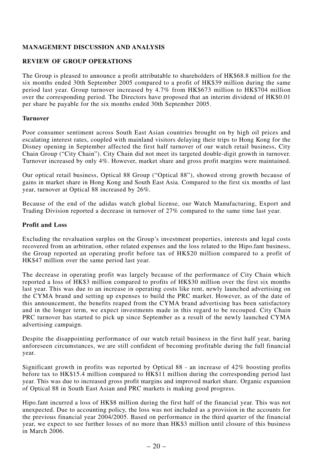# **MANAGEMENT DISCUSSION AND ANALYSIS**

# **REVIEW OF GROUP OPERATIONS**

The Group is pleased to announce a profit attributable to shareholders of HK\$68.8 million for the six months ended 30th September 2005 compared to a profit of HK\$39 million during the same period last year. Group turnover increased by 4.7% from HK\$673 million to HK\$704 million over the corresponding period. The Directors have proposed that an interim dividend of HK\$0.01 per share be payable for the six months ended 30th September 2005.

# **Turnover**

Poor consumer sentiment across South East Asian countries brought on by high oil prices and escalating interest rates, coupled with mainland visitors delaying their trips to Hong Kong for the Disney opening in September affected the first half turnover of our watch retail business, City Chain Group ("City Chain"). City Chain did not meet its targeted double-digit growth in turnover. Turnover increased by only 4%. However, market share and gross profit margins were maintained.

Our optical retail business, Optical 88 Group ("Optical 88"), showed strong growth because of gains in market share in Hong Kong and South East Asia. Compared to the first six months of last year, turnover at Optical 88 increased by 26%.

Because of the end of the adidas watch global license, our Watch Manufacturing, Export and Trading Division reported a decrease in turnover of 27% compared to the same time last year.

## **Profit and Loss**

Excluding the revaluation surplus on the Group's investment properties, interests and legal costs recovered from an arbitration, other related expenses and the loss related to the Hipo.fant business, the Group reported an operating profit before tax of HK\$20 million compared to a profit of HK\$47 million over the same period last year.

The decrease in operating profit was largely because of the performance of City Chain which reported a loss of HK\$3 million compared to profits of HK\$30 million over the first six months last year. This was due to an increase in operating costs like rent, newly launched advertising on the CYMA brand and setting up expenses to build the PRC market. However, as of the date of this announcement, the benefits reaped from the CYMA brand advertising has been satisfactory and in the longer term, we expect investments made in this regard to be recouped. City Chain PRC turnover has started to pick up since September as a result of the newly launched CYMA advertising campaign.

Despite the disappointing performance of our watch retail business in the first half year, baring unforeseen circumstances, we are still confident of becoming profitable during the full financial year.

Significant growth in profits was reported by Optical 88 - an increase of 42% boosting profits before tax to HK\$15.4 million compared to HK\$11 million during the corresponding period last year. This was due to increased gross profit margins and improved market share. Organic expansion of Optical 88 in South East Asian and PRC markets is making good progress.

Hipo.fant incurred a loss of HK\$8 million during the first half of the financial year. This was not unexpected. Due to accounting policy, the loss was not included as a provision in the accounts for the previous financial year 2004/2005. Based on performance in the third quarter of the financial year, we expect to see further losses of no more than HK\$3 million until closure of this business in March 2006.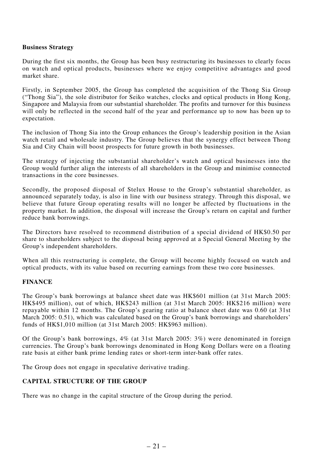# **Business Strategy**

During the first six months, the Group has been busy restructuring its businesses to clearly focus on watch and optical products, businesses where we enjoy competitive advantages and good market share.

Firstly, in September 2005, the Group has completed the acquisition of the Thong Sia Group ("Thong Sia"), the sole distributor for Seiko watches, clocks and optical products in Hong Kong, Singapore and Malaysia from our substantial shareholder. The profits and turnover for this business will only be reflected in the second half of the year and performance up to now has been up to expectation.

The inclusion of Thong Sia into the Group enhances the Group's leadership position in the Asian watch retail and wholesale industry. The Group believes that the synergy effect between Thong Sia and City Chain will boost prospects for future growth in both businesses.

The strategy of injecting the substantial shareholder's watch and optical businesses into the Group would further align the interests of all shareholders in the Group and minimise connected transactions in the core businesses.

Secondly, the proposed disposal of Stelux House to the Group's substantial shareholder, as announced separately today, is also in line with our business strategy. Through this disposal, we believe that future Group operating results will no longer be affected by fluctuations in the property market. In addition, the disposal will increase the Group's return on capital and further reduce bank borrowings.

The Directors have resolved to recommend distribution of a special dividend of HK\$0.50 per share to shareholders subject to the disposal being approved at a Special General Meeting by the Group's independent shareholders.

When all this restructuring is complete, the Group will become highly focused on watch and optical products, with its value based on recurring earnings from these two core businesses.

# **FINANCE**

The Group's bank borrowings at balance sheet date was HK\$601 million (at 31st March 2005: HK\$495 million), out of which, HK\$243 million (at 31st March 2005: HK\$216 million) were repayable within 12 months. The Group's gearing ratio at balance sheet date was 0.60 (at 31st March 2005: 0.51), which was calculated based on the Group's bank borrowings and shareholders' funds of HK\$1,010 million (at 31st March 2005: HK\$963 million).

Of the Group's bank borrowings, 4% (at 31st March 2005: 3%) were denominated in foreign currencies. The Group's bank borrowings denominated in Hong Kong Dollars were on a floating rate basis at either bank prime lending rates or short-term inter-bank offer rates.

The Group does not engage in speculative derivative trading.

# **CAPITAL STRUCTURE OF THE GROUP**

There was no change in the capital structure of the Group during the period.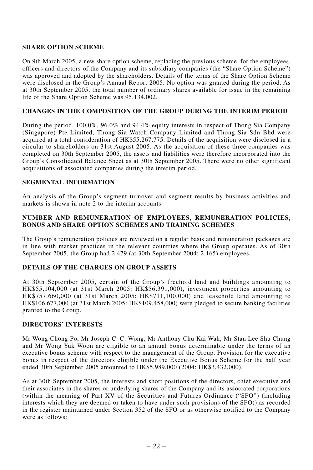# **SHARE OPTION SCHEME**

On 9th March 2005, a new share option scheme, replacing the previous scheme, for the employees, officers and directors of the Company and its subsidiary companies (the "Share Option Scheme") was approved and adopted by the shareholders. Details of the terms of the Share Option Scheme were disclosed in the Group's Annual Report 2005. No option was granted during the period. As at 30th September 2005, the total number of ordinary shares available for issue in the remaining life of the Share Option Scheme was 95,134,002.

# **CHANGES IN THE COMPOSITION OF THE GROUP DURING THE INTERIM PERIOD**

During the period, 100.0%, 96.0% and 94.4% equity interests in respect of Thong Sia Company (Singapore) Pte Limited, Thong Sia Watch Company Limited and Thong Sia Sdn Bhd were acquired at a total consideration of HK\$55,267,775. Details of the acquisition were disclosed in a circular to shareholders on 31st August 2005. As the acquisition of these three companies was completed on 30th September 2005, the assets and liabilities were therefore incorporated into the Group's Consolidated Balance Sheet as at 30th September 2005. There were no other significant acquisitions of associated companies during the interim period.

# **SEGMENTAL INFORMATION**

An analysis of the Group's segment turnover and segment results by business activities and markets is shown in note 2 to the interim accounts.

# **NUMBER AND REMUNERATION OF EMPLOYEES, REMUNERATION POLICIES, BONUS AND SHARE OPTION SCHEMES AND TRAINING SCHEMES**

The Group's remuneration policies are reviewed on a regular basis and remuneration packages are in line with market practices in the relevant countries where the Group operates. As of 30th September 2005, the Group had 2,479 (at 30th September 2004: 2,165) employees.

# **DETAILS OF THE CHARGES ON GROUP ASSETS**

At 30th September 2005, certain of the Group's freehold land and buildings amounting to HK\$55,104,000 (at 31st March 2005: HK\$56,391,000), investment properties amounting to HK\$757,660,000 (at 31st March 2005: HK\$711,100,000) and leasehold land amounting to HK\$106,677,000 (at 31st March 2005: HK\$109,458,000) were pledged to secure banking facilities granted to the Group.

# **DIRECTORS' INTERESTS**

Mr Wong Chong Po, Mr Joseph C. C. Wong, Mr Anthony Chu Kai Wah, Mr Stan Lee Shu Chung and Mr Wong Yuk Woon are eligible to an annual bonus determinable under the terms of an executive bonus scheme with respect to the management of the Group. Provision for the executive bonus in respect of the directors eligible under the Executive Bonus Scheme for the half year ended 30th September 2005 amounted to HK\$5,989,000 (2004: HK\$3,432,000).

As at 30th September 2005, the interests and short positions of the directors, chief executive and their associates in the shares or underlying shares of the Company and its associated corporations (within the meaning of Part XV of the Securities and Futures Ordinance ("SFO") (including interests which they are deemed or taken to have under such provisions of the SFO)) as recorded in the register maintained under Section 352 of the SFO or as otherwise notified to the Company were as follows: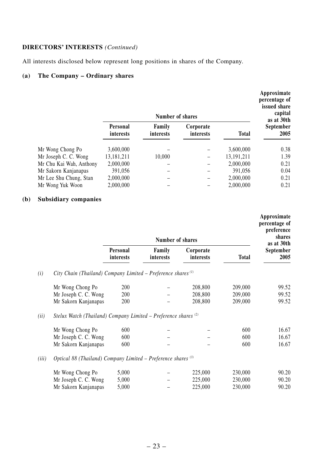# **DIRECTORS' INTERESTS** *(Continued)*

All interests disclosed below represent long positions in shares of the Company.

# **(a) The Company – Ordinary shares**

|                         |                       | Number of shares    |                        |              | Approximate<br>percentage of<br>issued share<br>capital<br>as at 30th |
|-------------------------|-----------------------|---------------------|------------------------|--------------|-----------------------------------------------------------------------|
|                         | Personal<br>interests | Family<br>interests | Corporate<br>interests | <b>Total</b> | September<br>2005                                                     |
| Mr Wong Chong Po        | 3.600.000             |                     |                        | 3.600.000    | 0.38                                                                  |
| Mr Joseph C. C. Wong    | 13,181,211            | 10.000              | -                      | 13.191.211   | 1.39                                                                  |
| Mr Chu Kai Wah, Anthony | 2,000,000             |                     |                        | 2,000,000    | 0.21                                                                  |
| Mr Sakorn Kanjanapas    | 391.056               |                     |                        | 391.056      | 0.04                                                                  |
| Mr Lee Shu Chung, Stan  | 2.000.000             |                     |                        | 2,000,000    | 0.21                                                                  |
| Mr Wong Yuk Woon        | 2,000,000             |                     |                        | 2,000,000    | 0.21                                                                  |

# **(b) Subsidiary companies**

|       |                                                                          |                       | Number of shares    |                        |              | Approximate<br>percentage of<br>preference<br>shares |
|-------|--------------------------------------------------------------------------|-----------------------|---------------------|------------------------|--------------|------------------------------------------------------|
|       |                                                                          | Personal<br>interests | Family<br>interests | Corporate<br>interests | <b>Total</b> | as at 30th<br>September<br>2005                      |
| (i)   | City Chain (Thailand) Company Limited - Preference shares <sup>(1)</sup> |                       |                     |                        |              |                                                      |
|       | Mr Wong Chong Po                                                         | 200                   |                     | 208,800                | 209,000      | 99.52                                                |
|       | Mr Joseph C. C. Wong                                                     | 200                   |                     | 208,800                | 209,000      | 99.52                                                |
|       | Mr Sakorn Kanjanapas                                                     | 200                   |                     | 208,800                | 209,000      | 99.52                                                |
| (ii)  | Stelux Watch (Thailand) Company Limited – Preference shares $(2)$        |                       |                     |                        |              |                                                      |
|       | Mr Wong Chong Po                                                         | 600                   |                     |                        | 600          | 16.67                                                |
|       | Mr Joseph C. C. Wong                                                     | 600                   |                     |                        | 600          | 16.67                                                |
|       | Mr Sakorn Kanjanapas                                                     | 600                   |                     |                        | 600          | 16.67                                                |
| (iii) | Optical 88 (Thailand) Company Limited - Preference shares (3)            |                       |                     |                        |              |                                                      |
|       | Mr Wong Chong Po                                                         | 5,000                 |                     | 225,000                | 230,000      | 90.20                                                |
|       | Mr Joseph C. C. Wong                                                     | 5,000                 |                     | 225,000                | 230,000      | 90.20                                                |
|       | Mr Sakorn Kanjanapas                                                     | 5,000                 |                     | 225,000                | 230,000      | 90.20                                                |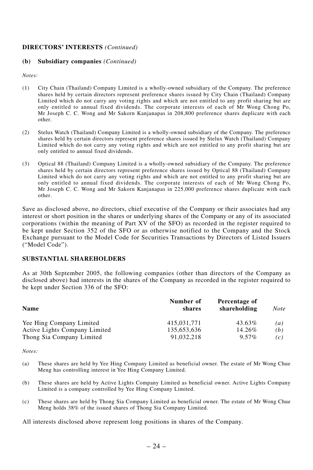# **DIRECTORS' INTERESTS** *(Continued)*

## **(b) Subsidiary companies** *(Continued)*

*Notes:*

- (1) City Chain (Thailand) Company Limited is a wholly-owned subsidiary of the Company. The preference shares held by certain directors represent preference shares issued by City Chain (Thailand) Company Limited which do not carry any voting rights and which are not entitled to any profit sharing but are only entitled to annual fixed dividends. The corporate interests of each of Mr Wong Chong Po, Mr Joseph C. C. Wong and Mr Sakorn Kanjanapas in 208,800 preference shares duplicate with each other.
- (2) Stelux Watch (Thailand) Company Limited is a wholly-owned subsidiary of the Company. The preference shares held by certain directors represent preference shares issued by Stelux Watch (Thailand) Company Limited which do not carry any voting rights and which are not entitled to any profit sharing but are only entitled to annual fixed dividends.
- (3) Optical 88 (Thailand) Company Limited is a wholly-owned subsidiary of the Company. The preference shares held by certain directors represent preference shares issued by Optical 88 (Thailand) Company Limited which do not carry any voting rights and which are not entitled to any profit sharing but are only entitled to annual fixed dividends. The corporate interests of each of Mr Wong Chong Po, Mr Joseph C. C. Wong and Mr Sakorn Kanjanapas in 225,000 preference shares duplicate with each other.

Save as disclosed above, no directors, chief executive of the Company or their associates had any interest or short position in the shares or underlying shares of the Company or any of its associated corporations (within the meaning of Part XV of the SFO) as recorded in the register required to be kept under Section 352 of the SFO or as otherwise notified to the Company and the Stock Exchange pursuant to the Model Code for Securities Transactions by Directors of Listed Issuers ("Model Code").

# **SUBSTANTIAL SHAREHOLDERS**

As at 30th September 2005, the following companies (other than directors of the Company as disclosed above) had interests in the shares of the Company as recorded in the register required to be kept under Section 336 of the SFO:

| Name                          | Number of<br>shares | Percentage of<br>shareholding | Note              |
|-------------------------------|---------------------|-------------------------------|-------------------|
| Yee Hing Company Limited      | 415.031.771         | 43.63%                        | $\left( a\right)$ |
| Active Lights Company Limited | 135,653,636         | 14.26%                        | (b)               |
| Thong Sia Company Limited     | 91.032.218          | $9.57\%$                      | (c)               |

*Notes:*

- (a) These shares are held by Yee Hing Company Limited as beneficial owner. The estate of Mr Wong Chue Meng has controlling interest in Yee Hing Company Limited.
- (b) These shares are held by Active Lights Company Limited as beneficial owner. Active Lights Company Limited is a company controlled by Yee Hing Company Limited.
- (c) These shares are held by Thong Sia Company Limited as beneficial owner. The estate of Mr Wong Chue Meng holds 38% of the issued shares of Thong Sia Company Limited.

All interests disclosed above represent long positions in shares of the Company.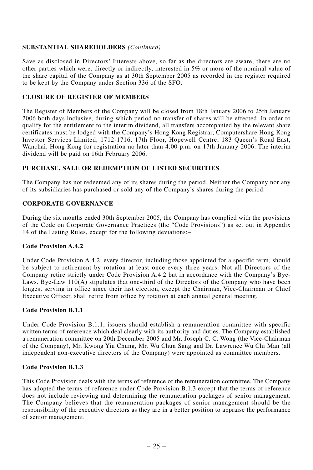# **SUBSTANTIAL SHAREHOLDERS** *(Continued)*

Save as disclosed in Directors' Interests above, so far as the directors are aware, there are no other parties which were, directly or indirectly, interested in 5% or more of the nominal value of the share capital of the Company as at 30th September 2005 as recorded in the register required to be kept by the Company under Section 336 of the SFO.

# **CLOSURE OF REGISTER OF MEMBERS**

The Register of Members of the Company will be closed from 18th January 2006 to 25th January 2006 both days inclusive, during which period no transfer of shares will be effected. In order to qualify for the entitlement to the interim dividend, all transfers accompanied by the relevant share certificates must be lodged with the Company's Hong Kong Registrar, Computershare Hong Kong Investor Services Limited, 1712-1716, 17th Floor, Hopewell Centre, 183 Queen's Road East, Wanchai, Hong Kong for registration no later than  $4:00$  p.m. on 17th January 2006. The interim dividend will be paid on 16th February 2006.

# **PURCHASE, SALE OR REDEMPTION OF LISTED SECURITIES**

The Company has not redeemed any of its shares during the period. Neither the Company nor any of its subsidiaries has purchased or sold any of the Company's shares during the period.

# **CORPORATE GOVERNANCE**

During the six months ended 30th September 2005, the Company has complied with the provisions of the Code on Corporate Governance Practices (the "Code Provisions") as set out in Appendix 14 of the Listing Rules, except for the following deviations:–

# **Code Provision A.4.2**

Under Code Provision A.4.2, every director, including those appointed for a specific term, should be subject to retirement by rotation at least once every three years. Not all Directors of the Company retire strictly under Code Provision A.4.2 but in accordance with the Company's Bye-Laws. Bye-Law 110(A) stipulates that one-third of the Directors of the Company who have been longest serving in office since their last election, except the Chairman, Vice-Chairman or Chief Executive Officer, shall retire from office by rotation at each annual general meeting.

# **Code Provision B.1.1**

Under Code Provision B.1.1, issuers should establish a remuneration committee with specific written terms of reference which deal clearly with its authority and duties. The Company established a remuneration committee on 20th December 2005 and Mr. Joseph C. C. Wong (the Vice-Chairman of the Company), Mr. Kwong Yiu Chung, Mr. Wu Chun Sang and Dr. Lawrence Wu Chi Man (all independent non-executive directors of the Company) were appointed as committee members.

# **Code Provision B.1.3**

This Code Provision deals with the terms of reference of the remuneration committee. The Company has adopted the terms of reference under Code Provision B.1.3 except that the terms of reference does not include reviewing and determining the remuneration packages of senior management. The Company believes that the remuneration packages of senior management should be the responsibility of the executive directors as they are in a better position to appraise the performance of senior management.